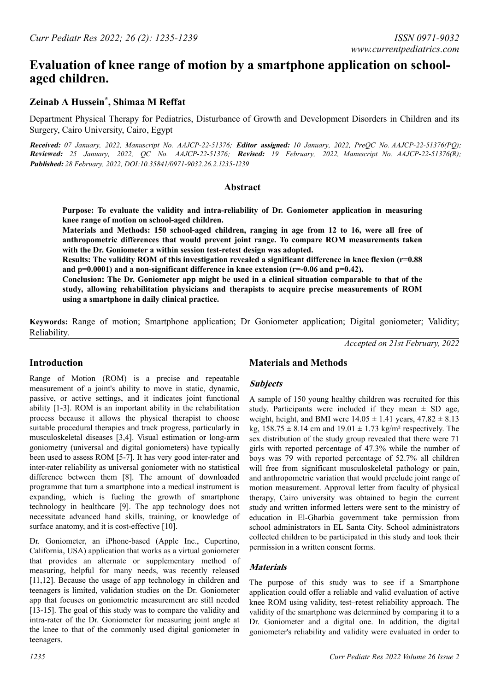# **Evaluation of knee range of motion by a smartphone application on schoolaged children.**

### **Zeinab A Hussein\* , Shimaa M Reffat**

Department Physical Therapy for Pediatrics, Disturbance of Growth and Development Disorders in Children and its Surgery, Cairo University, Cairo, Egypt

**Received:** *07 January, 2022, Manuscript No. AAJCP-22-51376;* **Editor assigned:** *10 January, 2022, PreQC No. AAJCP-22-51376(PQ);*  **Reviewed:** *25 January, 2022, QC No. AAJCP-22-51376;* **Revised:** *19 February, 2022, Manuscript No. AAJCP-22-51376(R);*  **Published:** *28 February, 2022, DOI:10.35841/0971-9032.26.2.1235-1239*

#### **Abstract**

**Purpose: To evaluate the validity and intra-reliability of Dr. Goniometer application in measuring knee range of motion on school-aged children.**

**Materials and Methods: 150 school-aged children, ranging in age from 12 to 16, were all free of anthropometric differences that would prevent joint range. To compare ROM measurements taken with the Dr. Goniometer a within session test-retest design was adopted.**

**Results: The validity ROM of this investigation revealed a significant difference in knee flexion (r=0.88 and p=0.0001) and a non-significant difference in knee extension (r=-0.06 and p=0.42).**

**Conclusion: The Dr. Goniometer app might be used in a clinical situation comparable to that of the study, allowing rehabilitation physicians and therapists to acquire precise measurements of ROM using a smartphone in daily clinical practice.**

**Keywords:** Range of motion; Smartphone application; Dr Goniometer application; Digital goniometer; Validity; Reliability.

*Accepted on 21st February, 2022*

### **Introduction**

Range of Motion (ROM) is a precise and repeatable measurement of a joint's ability to move in static, dynamic, passive, or active settings, and it indicates joint functional ability [1-3]. ROM is an important ability in the rehabilitation process because it allows the physical therapist to choose suitable procedural therapies and track progress, particularly in musculoskeletal diseases [3,4]. Visual estimation or long-arm goniometry (universal and digital goniometers) have typically been used to assess ROM [5-7]. It has very good inter-rater and inter-rater reliability as universal goniometer with no statistical difference between them [8]. The amount of downloaded programme that turn a smartphone into a medical instrument is expanding, which is fueling the growth of smartphone technology in healthcare [9]. The app technology does not necessitate advanced hand skills, training, or knowledge of surface anatomy, and it is cost-effective [10].

Dr. Goniometer, an iPhone-based (Apple Inc., Cupertino, California, USA) application that works as a virtual goniometer that provides an alternate or supplementary method of measuring, helpful for many needs, was recently released [11,12]. Because the usage of app technology in children and teenagers is limited, validation studies on the Dr. Goniometer app that focuses on goniometric measurement are still needed [13-15]. The goal of this study was to compare the validity and intra-rater of the Dr. Goniometer for measuring joint angle at the knee to that of the commonly used digital goniometer in teenagers.

### **Materials and Methods**

### **Subjects**

A sample of 150 young healthy children was recruited for this study. Participants were included if they mean  $\pm$  SD age, weight, height, and BMI were  $14.05 \pm 1.41$  years,  $47.82 \pm 8.13$ kg,  $158.75 \pm 8.14$  cm and  $19.01 \pm 1.73$  kg/m<sup>2</sup> respectively. The sex distribution of the study group revealed that there were 71 girls with reported percentage of 47.3% while the number of boys was 79 with reported percentage of 52.7% all children will free from significant musculoskeletal pathology or pain, and anthropometric variation that would preclude joint range of motion measurement. Approval letter from faculty of physical therapy, Cairo university was obtained to begin the current study and written informed letters were sent to the ministry of education in El-Gharbia government take permission from school administrators in EL Santa City. School administrators collected children to be participated in this study and took their permission in a written consent forms.

### **Materials**

The purpose of this study was to see if a Smartphone application could offer a reliable and valid evaluation of active knee ROM using validity, test–retest reliability approach. The validity of the smartphone was determined by comparing it to a Dr. Goniometer and a digital one. In addition, the digital goniometer's reliability and validity were evaluated in order to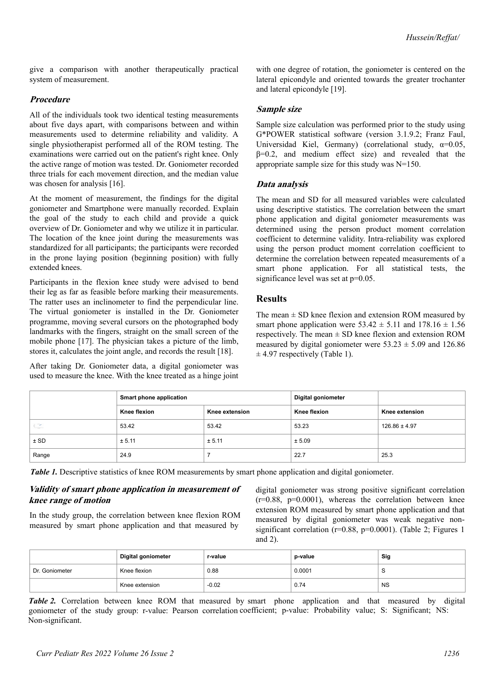give a comparison with another therapeutically practical system of measurement.

#### **Procedure**

All of the individuals took two identical testing measurements about five days apart, with comparisons between and within measurements used to determine reliability and validity. A single physiotherapist performed all of the ROM testing. The examinations were carried out on the patient's right knee. Only the active range of motion was tested. Dr. Goniometer recorded three trials for each movement direction, and the median value was chosen for analysis [16].

At the moment of measurement, the findings for the digital goniometer and Smartphone were manually recorded. Explain the goal of the study to each child and provide a quick overview of Dr. Goniometer and why we utilize it in particular. The location of the knee joint during the measurements was standardized for all participants; the participants were recorded in the prone laying position (beginning position) with fully extended knees.

Participants in the flexion knee study were advised to bend their leg as far as feasible before marking their measurements. The ratter uses an inclinometer to find the perpendicular line. The virtual goniometer is installed in the Dr. Goniometer programme, moving several cursors on the photographed body landmarks with the fingers, straight on the small screen of the mobile phone [17]. The physician takes a picture of the limb, stores it, calculates the joint angle, and records the result [18].

After taking Dr. Goniometer data, a digital goniometer was used to measure the knee. With the knee treated as a hinge joint with one degree of rotation, the goniometer is centered on the lateral epicondyle and oriented towards the greater trochanter and lateral epicondyle [19].

### **Sample size**

Sample size calculation was performed prior to the study using G\*POWER statistical software (version 3.1.9.2; Franz Faul, Universidad Kiel, Germany) (correlational study,  $\alpha=0.05$ ,  $\beta$ =0.2, and medium effect size) and revealed that the appropriate sample size for this study was N=150.

### **Data analysis**

The mean and SD for all measured variables were calculated using descriptive statistics. The correlation between the smart phone application and digital goniometer measurements was determined using the person product moment correlation coefficient to determine validity. Intra-reliability was explored using the person product moment correlation coefficient to determine the correlation between repeated measurements of a smart phone application. For all statistical tests, the significance level was set at  $p=0.05$ .

### **Results**

The mean  $\pm$  SD knee flexion and extension ROM measured by smart phone application were  $53.42 \pm 5.11$  and  $178.16 \pm 1.56$ respectively. The mean  $\pm$  SD knee flexion and extension ROM measured by digital goniometer were  $53.23 \pm 5.09$  and 126.86  $\pm$  4.97 respectively (Table 1).

|           | Smart phone application |                | Digital goniometer  |                   |
|-----------|-------------------------|----------------|---------------------|-------------------|
|           | <b>Knee flexion</b>     | Knee extension | <b>Knee flexion</b> | Knee extension    |
| $\subset$ | 53.42                   | 53.42          | 53.23               | $126.86 \pm 4.97$ |
| $±$ SD    | ± 5.11                  | ± 5.11         | ± 5.09              |                   |
| Range     | 24.9                    |                | 22.7                | 25.3              |

*Table 1.* Descriptive statistics of knee ROM measurements by smart phone application and digital goniometer.

### **Validity of smart phone application in measurement of knee range of motion**

In the study group, the correlation between knee flexion ROM measured by smart phone application and that measured by

digital goniometer was strong positive significant correlation  $(r=0.88, p=0.0001)$ , whereas the correlation between knee extension ROM measured by smart phone application and that measured by digital goniometer was weak negative nonsignificant correlation ( $r=0.88$ ,  $p=0.0001$ ). (Table 2; Figures 1 and 2).

|                | <b>Digital goniometer</b> | r-value | p-value | Sig       |
|----------------|---------------------------|---------|---------|-----------|
| Dr. Goniometer | Knee flexion              | 0.88    | 0.0001  | ◡         |
|                | Knee extension            | $-0.02$ | 0.74    | <b>NS</b> |

goniometer of the study group: r-value: Pearson correlation coefficient; p-value: Probability value; S: Significant; NS: Non-significant. *Table 2.* Correlation between knee ROM that measured by smart phone application and that measured by digital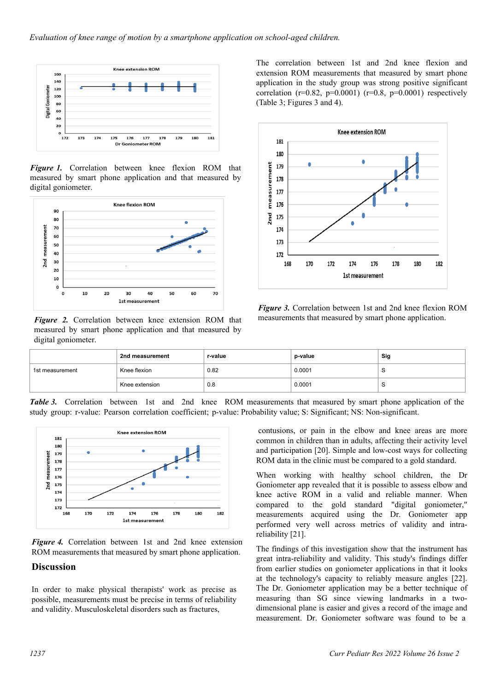

*Figure 1.* Correlation between knee flexion ROM that measured by smart phone application and that measured by digital goniometer.



*Figure 2.* Correlation between knee extension ROM that measured by smart phone application and that measured by digital goniometer.

The correlation between 1st and 2nd knee flexion and extension ROM measurements that measured by smart phone application in the study group was strong positive significant correlation (r=0.82, p=0.0001) (r=0.8, p=0.0001) respectively (Table 3; Figures 3 and 4).



*Figure 3.* Correlation between 1st and 2nd knee flexion ROM measurements that measured by smart phone application.

|                 | 2nd measurement | r-value | p-value | Sig |
|-----------------|-----------------|---------|---------|-----|
| 1st measurement | Knee flexion    | 0.82    | 0.0001  | ~   |
|                 | Knee extension  | 0.8     | 0.0001  |     |

*Table 3.* Correlation between 1st and 2nd knee ROM measurements that measured by smart phone application of the study group: r-value: Pearson correlation coefficient; p-value: Probability value; S: Significant; NS: Non-significant.



*Figure 4.* Correlation between 1st and 2nd knee extension ROM measurements that measured by smart phone application.

#### **Discussion**

In order to make physical therapists' work as precise as possible, measurements must be precise in terms of reliability and validity. Musculoskeletal disorders such as fractures,

contusions, or pain in the elbow and knee areas are more common in children than in adults, affecting their activity level and participation [20]. Simple and low-cost ways for collecting ROM data in the clinic must be compared to a gold standard.

When working with healthy school children, the Dr Goniometer app revealed that it is possible to assess elbow and knee active ROM in a valid and reliable manner. When compared to the gold standard "digital goniometer," measurements acquired using the Dr. Goniometer app performed very well across metrics of validity and intrareliability [21].

The findings of this investigation show that the instrument has great intra-reliability and validity. This study's findings differ from earlier studies on goniometer applications in that it looks at the technology's capacity to reliably measure angles [22]. The Dr. Goniometer application may be a better technique of measuring than SG since viewing landmarks in a twodimensional plane is easier and gives a record of the image and measurement. Dr. Goniometer software was found to be a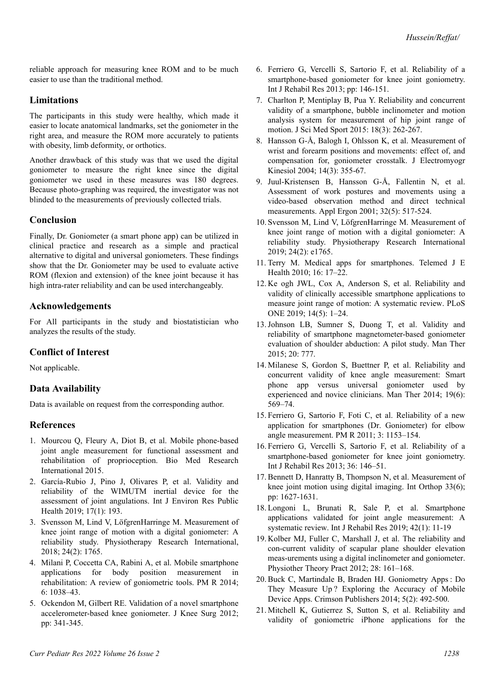reliable approach for measuring knee ROM and to be much easier to use than the traditional method.

### **Limitations**

The participants in this study were healthy, which made it easier to locate anatomical landmarks, set the goniometer in the right area, and measure the ROM more accurately to patients with obesity, limb deformity, or orthotics.

Another drawback of this study was that we used the digital goniometer to measure the right knee since the digital goniometer we used in these measures was 180 degrees. Because photo-graphing was required, the investigator was not blinded to the measurements of previously collected trials.

### **Conclusion**

Finally, Dr. Goniometer (a smart phone app) can be utilized in clinical practice and research as a simple and practical alternative to digital and universal goniometers. These findings show that the Dr. Goniometer may be used to evaluate active ROM (flexion and extension) of the knee joint because it has high intra-rater reliability and can be used interchangeably.

### **Acknowledgements**

For All participants in the study and biostatistician who analyzes the results of the study.

### **Conflict of Interest**

Not applicable.

### **Data Availability**

Data is available on request from the corresponding author.

### **References**

- 1. Mourcou Q, Fleury A, Diot B, et al. [Mobile phone-based](https://www.hindawi.com/journals/bmri/2015/328142/) [joint angle measurement for functional assessment and](https://www.hindawi.com/journals/bmri/2015/328142/) [rehabilitation of proprioception.](https://www.hindawi.com/journals/bmri/2015/328142/) Bio Med Research International 2015.
- 2. García-Rubio J, Pino J, Olivares P, et al. [Validity and](https://www.mdpi.com/1660-4601/17/1/193) [reliability of the WIMUTM inertial device for the](https://www.mdpi.com/1660-4601/17/1/193) [assessment of joint angulations.](https://www.mdpi.com/1660-4601/17/1/193) Int J Environ Res Public Health 2019; 17(1): 193.
- 3. Svensson M, Lind V, LöfgrenHarringe M. [Measurement of](https://onlinelibrary.wiley.com/doi/10.1002/pri.1765) [knee joint range of motion with a digital goniometer: A](https://onlinelibrary.wiley.com/doi/10.1002/pri.1765) [reliability study.](https://onlinelibrary.wiley.com/doi/10.1002/pri.1765) Physiotherapy Research International, 2018; 24(2): 1765.
- 4. Milani P, Coccetta CA, Rabini A, et al. [Mobile smartphone](https://onlinelibrary.wiley.com/doi/abs/10.1016/j.pmrj.2014.05.003) [applications for body position measurement in](https://onlinelibrary.wiley.com/doi/abs/10.1016/j.pmrj.2014.05.003) [rehabilitation: A review of goniometric tools.](https://onlinelibrary.wiley.com/doi/abs/10.1016/j.pmrj.2014.05.003) PM R 2014; 6: 1038–43.
- 5. Ockendon M, Gilbert RE. [Validation of a novel smartphone](https://www.thieme-connect.de/products/ejournals/abstract/10.1055/s-0031-1299669) [accelerometer-based knee goniometer.](https://www.thieme-connect.de/products/ejournals/abstract/10.1055/s-0031-1299669) J Knee Surg 2012; pp: 341-345.
- 6. Ferriero G, Vercelli S, Sartorio F, et al. [Reliability of a](https://journals.lww.com/intjrehabilres/Abstract/2013/06000/Reliability_of_a_smartphone_based_goniometer_for.9.aspx) [smartphone-based goniometer for knee joint goniometry.](https://journals.lww.com/intjrehabilres/Abstract/2013/06000/Reliability_of_a_smartphone_based_goniometer_for.9.aspx) Int J Rehabil Res 2013; pp: 146-151.
- 7. Charlton P, Mentiplay B, Pua Y. [Reliability and concurrent](https://www.jsams.org/article/S1440-2440(14)00077-2/fulltext) [validity of a smartphone, bubble inclinometer and motion](https://www.jsams.org/article/S1440-2440(14)00077-2/fulltext) [analysis system for measurement of hip joint range of](https://www.jsams.org/article/S1440-2440(14)00077-2/fulltext) [motion.](https://www.jsams.org/article/S1440-2440(14)00077-2/fulltext) J Sci Med Sport 2015: 18(3): 262-267.
- 8. Hansson G-Å, Balogh I, Ohlsson K, et al. [Measurement of](https://www.sciencedirect.com/science/article/abs/pii/S1050641103001457?via%3Dihub) [wrist and forearm positions and movements: effect of, and](https://www.sciencedirect.com/science/article/abs/pii/S1050641103001457?via%3Dihub) [compensation for, goniometer crosstalk.](https://www.sciencedirect.com/science/article/abs/pii/S1050641103001457?via%3Dihub) J Electromyogr Kinesiol 2004; 14(3): 355-67.
- 9. Juul-Kristensen B, Hansson G-Å, Fallentin N, et al[.](https://www.sciencedirect.com/science/article/abs/pii/S0003687001000175?via%3Dihub) [Assessment of work postures and movements using a](https://www.sciencedirect.com/science/article/abs/pii/S0003687001000175?via%3Dihub) [video-based observation method and direct technical](https://www.sciencedirect.com/science/article/abs/pii/S0003687001000175?via%3Dihub) [measurements.](https://www.sciencedirect.com/science/article/abs/pii/S0003687001000175?via%3Dihub) Appl Ergon 2001; 32(5): 517-524.
- 10. Svensson M, Lind V, LöfgrenHarringe M. [Measurement of](https://onlinelibrary.wiley.com/doi/10.1002/pri.1765) [knee joint range of motion with a digital goniometer: A](https://onlinelibrary.wiley.com/doi/10.1002/pri.1765) [reliability study.](https://onlinelibrary.wiley.com/doi/10.1002/pri.1765) Physiotherapy Research International 2019; 24(2): e1765.
- 11. Terry M. [Medical apps for smartphones.](https://www.liebertpub.com/doi/10.1089/tmj.2010.9999) Telemed J E Health 2010; 16: 17–22.
- 12. Ke ogh JWL, Cox A, Anderson S, et al. [Reliability and](https://journals.plos.org/plosone/article?id=10.1371/journal.pone.0215806) [validity of clinically accessible smartphone applications to](https://journals.plos.org/plosone/article?id=10.1371/journal.pone.0215806) [measure joint range of motion: A systematic review.](https://journals.plos.org/plosone/article?id=10.1371/journal.pone.0215806) PLoS ONE 2019; 14(5): 1–24.
- 13. Johnson LB, Sumner S, Duong T, et al. [Validity and](https://www.sciencedirect.com/science/article/abs/pii/S1356689X15000521?via%3Dihub) [reliability of smartphone magnetometer-based goniometer](https://www.sciencedirect.com/science/article/abs/pii/S1356689X15000521?via%3Dihub) [evaluation of shoulder abduction: A pilot study](https://www.sciencedirect.com/science/article/abs/pii/S1356689X15000521?via%3Dihub). Man Ther 2015; 20: 777.
- 14. Milanese S, Gordon S, Buettner P, et al. [Reliability and](https://www.sciencedirect.com/science/article/abs/pii/S1356689X14001118?via%3Dihub) [concurrent validity of knee angle measurement: Smart](https://www.sciencedirect.com/science/article/abs/pii/S1356689X14001118?via%3Dihub) [phone app versus universal goniometer used by](https://www.sciencedirect.com/science/article/abs/pii/S1356689X14001118?via%3Dihub) [experienced and novice clinicians.](https://www.sciencedirect.com/science/article/abs/pii/S1356689X14001118?via%3Dihub) Man Ther 2014; 19(6): 569–74.
- 15. Ferriero G, Sartorio F, Foti C, et al. [Reliability of a new](https://onlinelibrary.wiley.com/doi/abs/10.1016/j.pmrj.2011.05.014) [application for smartphones \(Dr. Goniometer\) for elbow](https://onlinelibrary.wiley.com/doi/abs/10.1016/j.pmrj.2011.05.014) [angle measurement.](https://onlinelibrary.wiley.com/doi/abs/10.1016/j.pmrj.2011.05.014) PM R 2011; 3: 1153–154.
- 16. Ferriero G, Vercelli S, Sartorio F, et al. [Reliability of a](https://journals.lww.com/intjrehabilres/Abstract/2013/06000/Reliability_of_a_smartphone_based_goniometer_for.9.aspx) [smartphone-based goniometer for knee joint goniometry.](https://journals.lww.com/intjrehabilres/Abstract/2013/06000/Reliability_of_a_smartphone_based_goniometer_for.9.aspx) Int J Rehabil Res 2013; 36: 146–51.
- 17. Bennett D, Hanratty B, Thompson N, et al. [Measurement of](https://link.springer.com/article/10.1007/s00264-008-0694-9) [knee joint motion using digital imaging.](https://link.springer.com/article/10.1007/s00264-008-0694-9) Int Orthop 33(6); pp: 1627-1631.
- 18. Longoni L, Brunati R, Sale P, et al. [Smartphone](https://journals.lww.com/intjrehabilres/Abstract/2019/03000/Smartphone_applications_validated_for_joint_angle.2.aspx) [applications validated for joint angle measurement: A](https://journals.lww.com/intjrehabilres/Abstract/2019/03000/Smartphone_applications_validated_for_joint_angle.2.aspx) [systematic review](https://journals.lww.com/intjrehabilres/Abstract/2019/03000/Smartphone_applications_validated_for_joint_angle.2.aspx). Int J Rehabil Res 2019; 42(1): 11-19
- 19. Kolber MJ, Fuller C, Marshall J, et al. [The reliability and](https://www.tandfonline.com/doi/abs/10.3109/09593985.2011.574203?journalCode=iptp20) [con-current validity of scapular plane shoulder elevation](https://www.tandfonline.com/doi/abs/10.3109/09593985.2011.574203?journalCode=iptp20) [meas-urements using a digital inclinometer and goniometer.](https://www.tandfonline.com/doi/abs/10.3109/09593985.2011.574203?journalCode=iptp20) Physiother Theory Pract 2012; 28: 161–168.
- 20. Buck C, Martindale B, Braden HJ. [Goniometry Apps : Do](https://crimsonpublishers.com/ggs/pdf/GGS.000610.pdf) [They Measure Up ? Exploring the Accuracy of Mobile](https://crimsonpublishers.com/ggs/pdf/GGS.000610.pdf) [Device Apps.](https://crimsonpublishers.com/ggs/pdf/GGS.000610.pdf) Crimson Publishers 2014; 5(2): 492-500.
- 21. Mitchell K, Gutierrez S, Sutton S, et al. [Reliability and](https://www.tandfonline.com/doi/abs/10.3109/09593985.2014.900593?journalCode=iptp20) [validity of goniometric iPhone applications for the](https://www.tandfonline.com/doi/abs/10.3109/09593985.2014.900593?journalCode=iptp20)